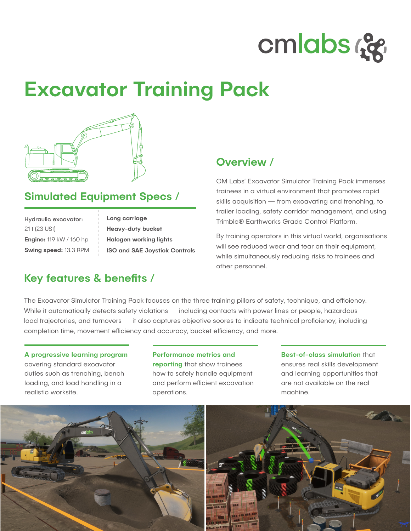

# Excavator Training Pack



# Simulated Equipment Specs /

| Hydraulic excavator:           |
|--------------------------------|
| 21 t (23 USt)                  |
| <b>Engine: 119 kW / 160 hp</b> |
| <b>Swing speed: 13.3 RPM</b>   |

Long carriage Heavy-duty bucket Halogen working lights ISO and SAE Joystick Controls

# Key features & benefits /

### Overview /

CM Labs' Excavator Simulator Training Pack immerses trainees in a virtual environment that promotes rapid skills acquisition — from excavating and trenching, to trailer loading, safety corridor management, and using Trimble® Earthworks Grade Control Platform.

By training operators in this virtual world, organisations will see reduced wear and tear on their equipment, while simultaneously reducing risks to trainees and other personnel.

The Excavator Simulator Training Pack focuses on the three training pillars of safety, technique, and efficiency. While it automatically detects safety violations — including contacts with power lines or people, hazardous load trajectories, and turnovers — it also captures objective scores to indicate technical proficiency, including completion time, movement efficiency and accuracy, bucket efficiency, and more.

#### A progressive learning program covering standard excavator duties such as trenching, bench loading, and load handling in a

realistic worksite.

#### Performance metrics and

reporting that show trainees how to safely handle equipment and perform efficient excavation operations.

Best-of-class simulation that ensures real skills development and learning opportunities that are not available on the real machine.